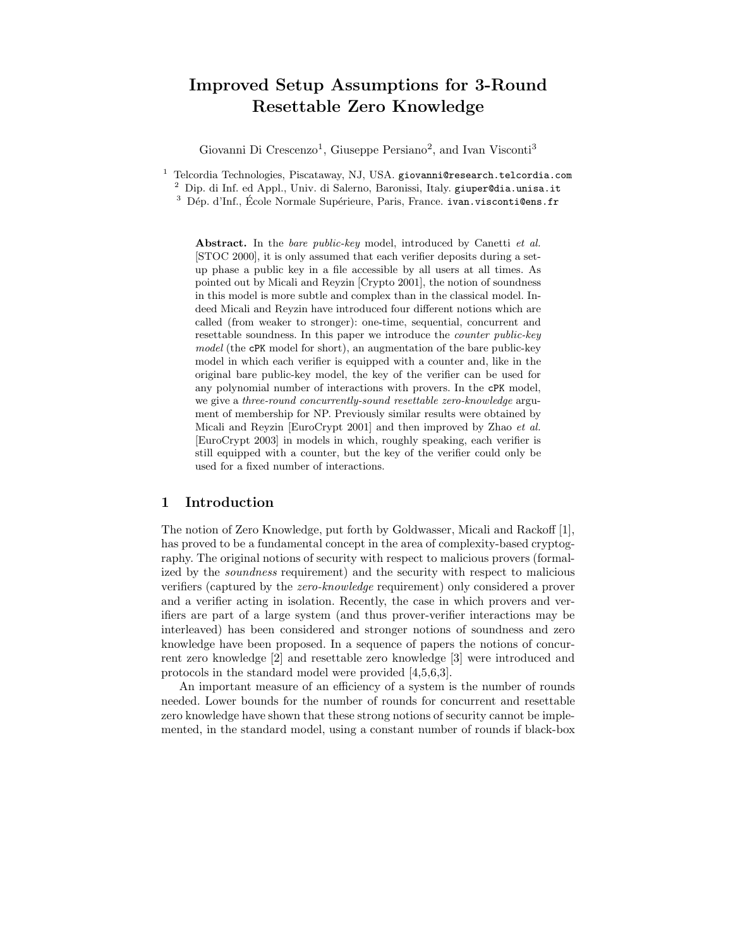# Improved Setup Assumptions for 3-Round Resettable Zero Knowledge

Giovanni Di Crescenzo<sup>1</sup>, Giuseppe Persiano<sup>2</sup>, and Ivan Visconti<sup>3</sup>

<sup>1</sup> Telcordia Technologies, Piscataway, NJ, USA. giovanni@research.telcordia.com

 $^{2}$  Dip. di Inf. ed Appl., Univ. di Salerno, Baronissi, Italy. giuper@dia.unisa.it

 $3$  Dép. d'Inf., École Normale Supérieure, Paris, France. ivan.visconti@ens.fr

Abstract. In the *bare public-key* model, introduced by Canetti *et al.* [STOC 2000], it is only assumed that each verifier deposits during a setup phase a public key in a file accessible by all users at all times. As pointed out by Micali and Reyzin [Crypto 2001], the notion of soundness in this model is more subtle and complex than in the classical model. Indeed Micali and Reyzin have introduced four different notions which are called (from weaker to stronger): one-time, sequential, concurrent and resettable soundness. In this paper we introduce the counter public-key model (the cPK model for short), an augmentation of the bare public-key model in which each verifier is equipped with a counter and, like in the original bare public-key model, the key of the verifier can be used for any polynomial number of interactions with provers. In the cPK model, we give a three-round concurrently-sound resettable zero-knowledge argument of membership for NP. Previously similar results were obtained by Micali and Reyzin [EuroCrypt 2001] and then improved by Zhao et al. [EuroCrypt 2003] in models in which, roughly speaking, each verifier is still equipped with a counter, but the key of the verifier could only be used for a fixed number of interactions.

## 1 Introduction

The notion of Zero Knowledge, put forth by Goldwasser, Micali and Rackoff [1], has proved to be a fundamental concept in the area of complexity-based cryptography. The original notions of security with respect to malicious provers (formalized by the soundness requirement) and the security with respect to malicious verifiers (captured by the zero-knowledge requirement) only considered a prover and a verifier acting in isolation. Recently, the case in which provers and verifiers are part of a large system (and thus prover-verifier interactions may be interleaved) has been considered and stronger notions of soundness and zero knowledge have been proposed. In a sequence of papers the notions of concurrent zero knowledge [2] and resettable zero knowledge [3] were introduced and protocols in the standard model were provided [4,5,6,3].

An important measure of an efficiency of a system is the number of rounds needed. Lower bounds for the number of rounds for concurrent and resettable zero knowledge have shown that these strong notions of security cannot be implemented, in the standard model, using a constant number of rounds if black-box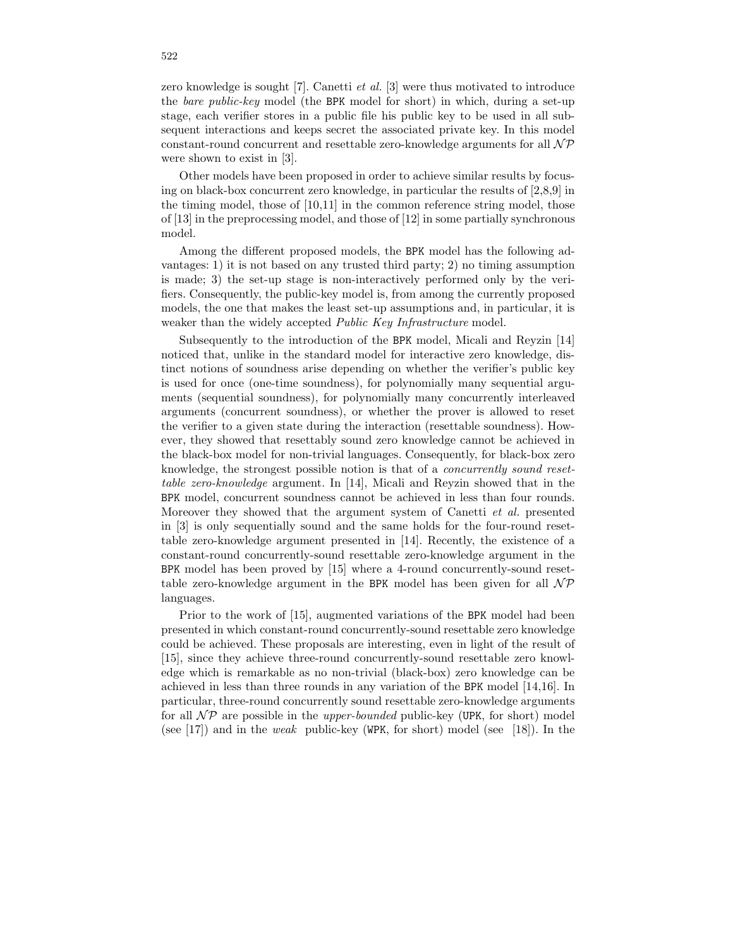zero knowledge is sought [7]. Canetti et al. [3] were thus motivated to introduce the bare public-key model (the BPK model for short) in which, during a set-up stage, each verifier stores in a public file his public key to be used in all subsequent interactions and keeps secret the associated private key. In this model constant-round concurrent and resettable zero-knowledge arguments for all  $\mathcal{NP}$ were shown to exist in [3].

Other models have been proposed in order to achieve similar results by focusing on black-box concurrent zero knowledge, in particular the results of [2,8,9] in the timing model, those of [10,11] in the common reference string model, those of [13] in the preprocessing model, and those of [12] in some partially synchronous model.

Among the different proposed models, the BPK model has the following advantages: 1) it is not based on any trusted third party; 2) no timing assumption is made; 3) the set-up stage is non-interactively performed only by the verifiers. Consequently, the public-key model is, from among the currently proposed models, the one that makes the least set-up assumptions and, in particular, it is weaker than the widely accepted Public Key Infrastructure model.

Subsequently to the introduction of the BPK model, Micali and Reyzin [14] noticed that, unlike in the standard model for interactive zero knowledge, distinct notions of soundness arise depending on whether the verifier's public key is used for once (one-time soundness), for polynomially many sequential arguments (sequential soundness), for polynomially many concurrently interleaved arguments (concurrent soundness), or whether the prover is allowed to reset the verifier to a given state during the interaction (resettable soundness). However, they showed that resettably sound zero knowledge cannot be achieved in the black-box model for non-trivial languages. Consequently, for black-box zero knowledge, the strongest possible notion is that of a concurrently sound resettable zero-knowledge argument. In [14], Micali and Reyzin showed that in the BPK model, concurrent soundness cannot be achieved in less than four rounds. Moreover they showed that the argument system of Canetti et al. presented in [3] is only sequentially sound and the same holds for the four-round resettable zero-knowledge argument presented in [14]. Recently, the existence of a constant-round concurrently-sound resettable zero-knowledge argument in the BPK model has been proved by [15] where a 4-round concurrently-sound resettable zero-knowledge argument in the BPK model has been given for all  $\mathcal{NP}$ languages.

Prior to the work of [15], augmented variations of the BPK model had been presented in which constant-round concurrently-sound resettable zero knowledge could be achieved. These proposals are interesting, even in light of the result of [15], since they achieve three-round concurrently-sound resettable zero knowledge which is remarkable as no non-trivial (black-box) zero knowledge can be achieved in less than three rounds in any variation of the BPK model [14,16]. In particular, three-round concurrently sound resettable zero-knowledge arguments for all  $\mathcal{NP}$  are possible in the *upper-bounded* public-key (UPK, for short) model (see [17]) and in the weak public-key (WPK, for short) model (see [18]). In the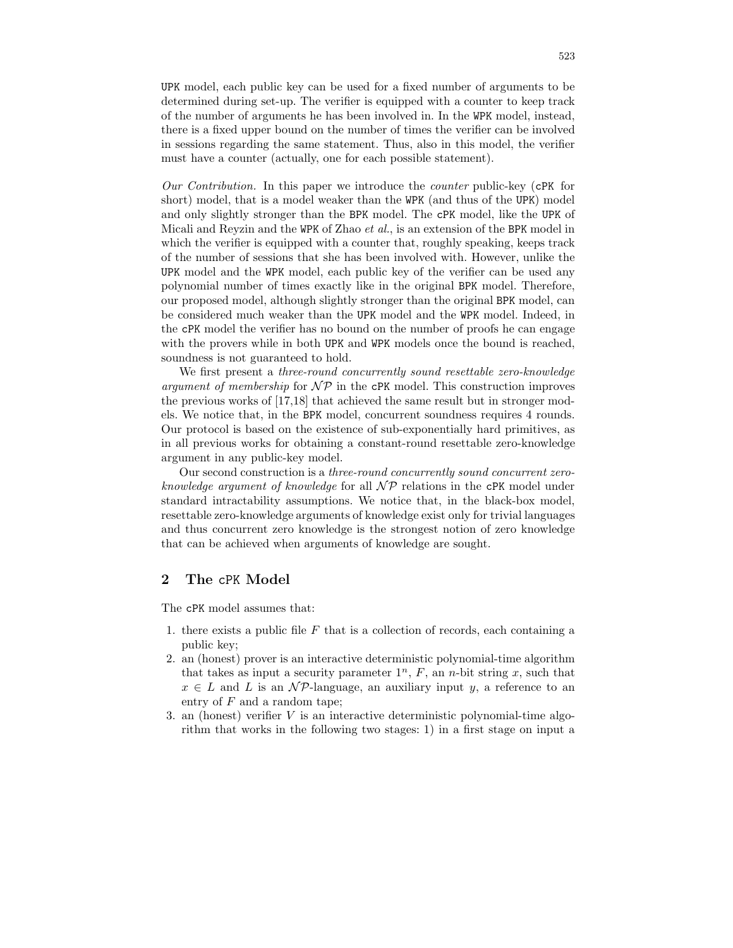UPK model, each public key can be used for a fixed number of arguments to be determined during set-up. The verifier is equipped with a counter to keep track of the number of arguments he has been involved in. In the WPK model, instead, there is a fixed upper bound on the number of times the verifier can be involved in sessions regarding the same statement. Thus, also in this model, the verifier must have a counter (actually, one for each possible statement).

Our Contribution. In this paper we introduce the counter public-key (cPK for short) model, that is a model weaker than the WPK (and thus of the UPK) model and only slightly stronger than the BPK model. The cPK model, like the UPK of Micali and Reyzin and the WPK of Zhao et al., is an extension of the BPK model in which the verifier is equipped with a counter that, roughly speaking, keeps track of the number of sessions that she has been involved with. However, unlike the UPK model and the WPK model, each public key of the verifier can be used any polynomial number of times exactly like in the original BPK model. Therefore, our proposed model, although slightly stronger than the original BPK model, can be considered much weaker than the UPK model and the WPK model. Indeed, in the cPK model the verifier has no bound on the number of proofs he can engage with the provers while in both UPK and WPK models once the bound is reached, soundness is not guaranteed to hold.

We first present a *three-round concurrently sound resettable zero-knowledge* argument of membership for  $\mathcal{NP}$  in the cPK model. This construction improves the previous works of [17,18] that achieved the same result but in stronger models. We notice that, in the BPK model, concurrent soundness requires 4 rounds. Our protocol is based on the existence of sub-exponentially hard primitives, as in all previous works for obtaining a constant-round resettable zero-knowledge argument in any public-key model.

Our second construction is a three-round concurrently sound concurrent zeroknowledge argument of knowledge for all  $\mathcal{NP}$  relations in the cPK model under standard intractability assumptions. We notice that, in the black-box model, resettable zero-knowledge arguments of knowledge exist only for trivial languages and thus concurrent zero knowledge is the strongest notion of zero knowledge that can be achieved when arguments of knowledge are sought.

# 2 The cPK Model

The cPK model assumes that:

- 1. there exists a public file  $F$  that is a collection of records, each containing a public key;
- 2. an (honest) prover is an interactive deterministic polynomial-time algorithm that takes as input a security parameter  $1^n$ , F, an n-bit string x, such that  $x \in L$  and L is an NP-language, an auxiliary input y, a reference to an entry of  $F$  and a random tape:
- 3. an (honest) verifier  $V$  is an interactive deterministic polynomial-time algorithm that works in the following two stages: 1) in a first stage on input a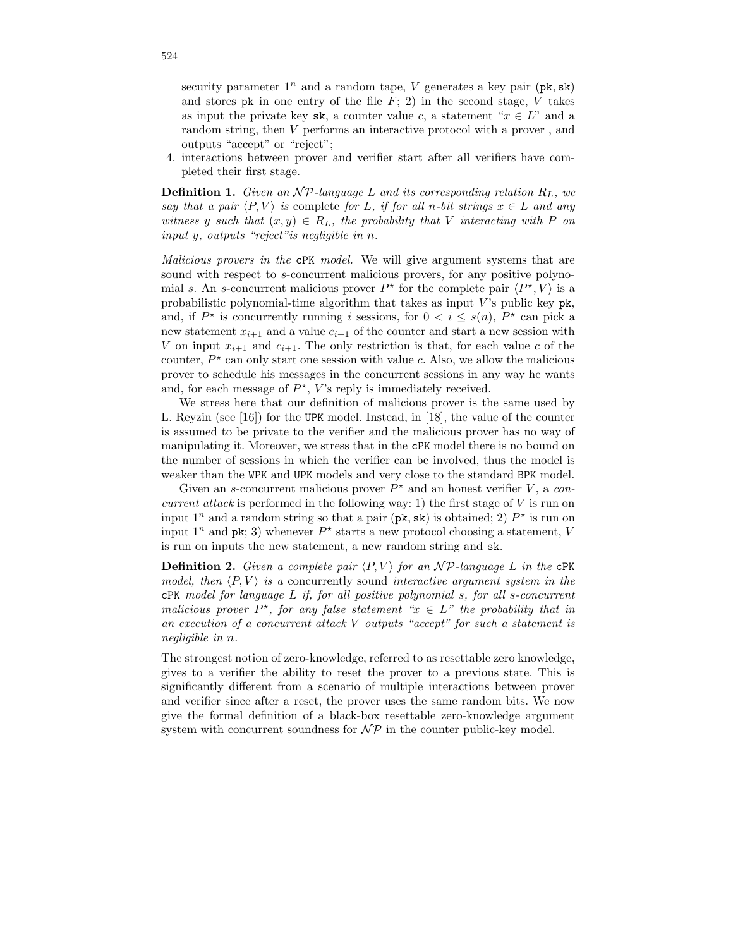security parameter  $1^n$  and a random tape, V generates a key pair ( $pk, sk$ ) and stores pk in one entry of the file  $F$ ; 2) in the second stage, V takes as input the private key sk, a counter value c, a statement " $x \in L$ " and a random string, then V performs an interactive protocol with a prover , and outputs "accept" or "reject";

4. interactions between prover and verifier start after all verifiers have completed their first stage.

**Definition 1.** Given an  $\mathcal{NP}$ -language L and its corresponding relation  $R_L$ , we say that a pair  $\langle P, V \rangle$  is complete for L, if for all n-bit strings  $x \in L$  and any witness y such that  $(x, y) \in R_L$ , the probability that V interacting with P on input y, outputs "reject"is negligible in n.

Malicious provers in the cPK model. We will give argument systems that are sound with respect to s-concurrent malicious provers, for any positive polynomial s. An s-concurrent malicious prover  $P^*$  for the complete pair  $\langle P^*, V \rangle$  is a probabilistic polynomial-time algorithm that takes as input  $V$ 's public key pk, and, if  $P^*$  is concurrently running i sessions, for  $0 < i \leq s(n)$ ,  $P^*$  can pick a new statement  $x_{i+1}$  and a value  $c_{i+1}$  of the counter and start a new session with V on input  $x_{i+1}$  and  $c_{i+1}$ . The only restriction is that, for each value c of the counter,  $P^*$  can only start one session with value c. Also, we allow the malicious prover to schedule his messages in the concurrent sessions in any way he wants and, for each message of  $P^*$ , V's reply is immediately received.

We stress here that our definition of malicious prover is the same used by L. Reyzin (see [16]) for the UPK model. Instead, in [18], the value of the counter is assumed to be private to the verifier and the malicious prover has no way of manipulating it. Moreover, we stress that in the cPK model there is no bound on the number of sessions in which the verifier can be involved, thus the model is weaker than the WPK and UPK models and very close to the standard BPK model.

Given an s-concurrent malicious prover  $P^*$  and an honest verifier V, a con*current attack* is performed in the following way: 1) the first stage of  $V$  is run on input 1<sup>n</sup> and a random string so that a pair ( $pk, sk$ ) is obtained; 2)  $P^*$  is run on input  $1^n$  and  $pk$ ; 3) whenever  $P^*$  starts a new protocol choosing a statement, V is run on inputs the new statement, a new random string and sk.

**Definition 2.** Given a complete pair  $\langle P, V \rangle$  for an NP-language L in the CPK model, then  $\langle P, V \rangle$  is a concurrently sound interactive argument system in the cPK model for language L if, for all positive polynomial s, for all s-concurrent malicious prover  $P^*$ , for any false statement " $x \in L$ " the probability that in an execution of a concurrent attack V outputs "accept" for such a statement is negligible in n.

The strongest notion of zero-knowledge, referred to as resettable zero knowledge, gives to a verifier the ability to reset the prover to a previous state. This is significantly different from a scenario of multiple interactions between prover and verifier since after a reset, the prover uses the same random bits. We now give the formal definition of a black-box resettable zero-knowledge argument system with concurrent soundness for  $\mathcal{NP}$  in the counter public-key model.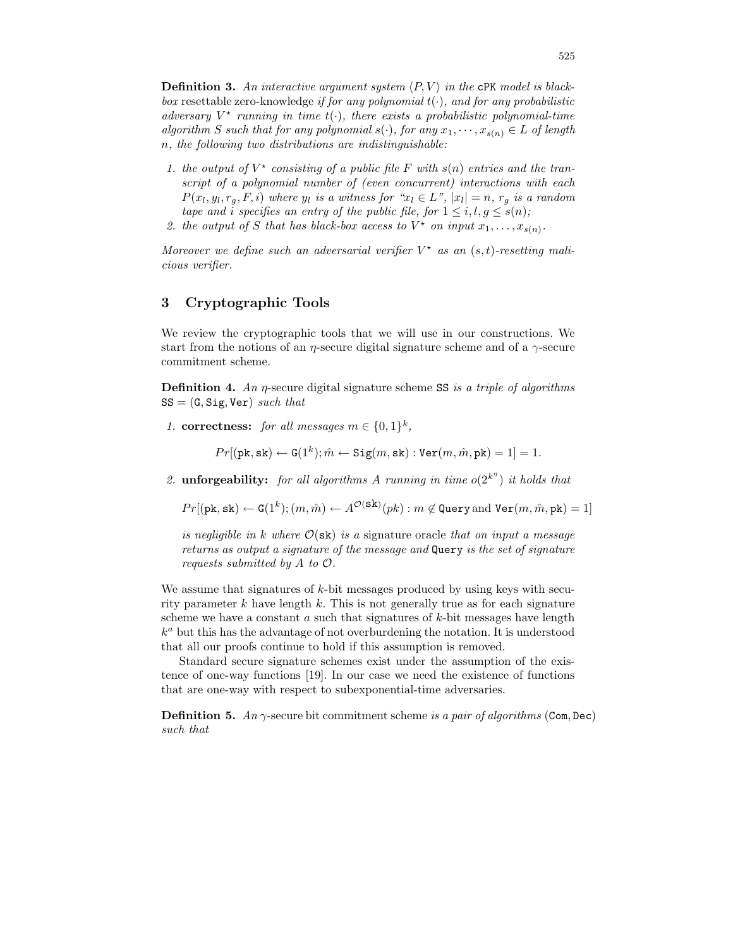**Definition 3.** An interactive argument system  $\langle P, V \rangle$  in the CPK model is blackbox resettable zero-knowledge if for any polynomial  $t(\cdot)$ , and for any probabilistic adversary  $V^*$  running in time  $t(\cdot)$ , there exists a probabilistic polynomial-time algorithm S such that for any polynomial s(·), for any  $x_1, \dots, x_{s(n)} \in L$  of length n, the following two distributions are indistinguishable:

- 1. the output of  $V^*$  consisting of a public file F with  $s(n)$  entries and the transcript of a polynomial number of (even concurrent) interactions with each  $P(x_l, y_l, r_g, F, i)$  where  $y_l$  is a witness for " $x_l \in L$ ",  $|x_l| = n$ ,  $r_g$  is a random tape and i specifies an entry of the public file, for  $1 \leq i, l, g \leq s(n)$ ;
- 2. the output of S that has black-box access to  $V^*$  on input  $x_1, \ldots, x_{s(n)}$ .

Moreover we define such an adversarial verifier  $V^*$  as an  $(s,t)$ -resetting malicious verifier.

# 3 Cryptographic Tools

We review the cryptographic tools that we will use in our constructions. We start from the notions of an *η*-secure digital signature scheme and of a  $\gamma$ -secure commitment scheme.

**Definition 4.** An  $\eta$ -secure digital signature scheme SS is a triple of algorithms  $SS = (G, Sig, Ver) \; such \; that$ 

1. correctness: for all messages  $m \in \{0,1\}^k$ ,

 $Pr[(\texttt{pk}, \texttt{sk}) \leftarrow \texttt{G}(1^k); \hat{m} \leftarrow \texttt{Sig}(m, \texttt{sk}): \texttt{Ver}(m, \hat{m}, \texttt{pk}) = 1] = 1.$ 

2. unforgeability: for all algorithms A running in time  $o(2^{k^{n}})$  it holds that

 $Pr[(\texttt{pk},\texttt{sk}) \leftarrow \texttt{G}(1^k); (m,\hat{m}) \leftarrow A^{\mathcal{O}(\texttt{sk})}(pk) : m \not\in \texttt{Query}\text{ and } \texttt{Ver}(m,\hat{m},\texttt{pk}) = 1]$ 

is negligible in k where  $\mathcal{O}(\mathbf{sk})$  is a signature oracle that on input a message returns as output a signature of the message and Query is the set of signature requests submitted by  $A$  to  $O$ .

We assume that signatures of  $k$ -bit messages produced by using keys with security parameter  $k$  have length  $k$ . This is not generally true as for each signature scheme we have a constant  $a$  such that signatures of  $k$ -bit messages have length  $k<sup>a</sup>$  but this has the advantage of not overburdening the notation. It is understood that all our proofs continue to hold if this assumption is removed.

Standard secure signature schemes exist under the assumption of the existence of one-way functions [19]. In our case we need the existence of functions that are one-way with respect to subexponential-time adversaries.

**Definition 5.** An  $\gamma$ -secure bit commitment scheme is a pair of algorithms (Com, Dec) such that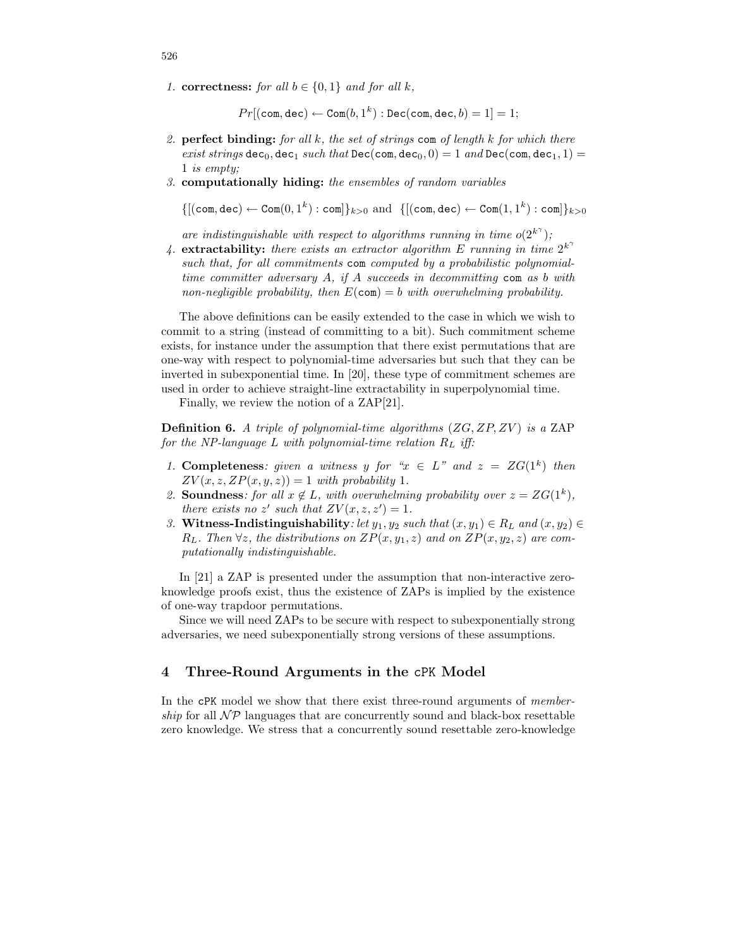1. correctness: for all  $b \in \{0, 1\}$  and for all k,

 $Pr[(\texttt{com},\texttt{dec})\leftarrow \texttt{Com}(b,1^k):\texttt{Dec}(\texttt{com},\texttt{dec},b)=1]=1;$ 

- 2. perfect binding: for all k, the set of strings com of length k for which there exist strings dec<sub>0</sub>, dec<sub>1</sub> such that Dec(com, dec<sub>0</sub>, 0) = 1 and Dec(com, dec<sub>1</sub>, 1) = 1 is empty;
- 3. computationally hiding: the ensembles of random variables

 $\{[(\text{\tt com},\text{\tt dec})\leftarrow\text{\tt Com}(0,1^k):\text{\tt com}]\}_{k>0}\,\,\text{and}\,\,\,\{[(\text{\tt com},\text{\tt dec})\leftarrow\text{\tt Com}(1,1^k):\text{\tt com}]\}_{k>0}$ 

are indistinguishable with respect to algorithms running in time  $o(2^{k^{\gamma}})$ ;

4. extractability: there exists an extractor algorithm E running in time  $2^{k^{\gamma}}$ such that, for all commitments com computed by a probabilistic polynomialtime committer adversary A, if A succeeds in decommitting  $com$  as b with non-negligible probability, then  $E(\text{com}) = b$  with overwhelming probability.

The above definitions can be easily extended to the case in which we wish to commit to a string (instead of committing to a bit). Such commitment scheme exists, for instance under the assumption that there exist permutations that are one-way with respect to polynomial-time adversaries but such that they can be inverted in subexponential time. In [20], these type of commitment schemes are used in order to achieve straight-line extractability in superpolynomial time.

Finally, we review the notion of a ZAP[21].

**Definition 6.** A triple of polynomial-time algorithms  $(ZG, ZP, ZV)$  is a ZAP for the NP-language L with polynomial-time relation  $R_L$  iff:

- 1. Completeness: given a witness y for " $x \in L^{\nu}$  and  $z = ZG(1^k)$  then  $ZV(x, z, ZP(x, y, z)) = 1$  with probability 1.
- 2. Soundness: for all  $x \notin L$ , with overwhelming probability over  $z = ZG(1^k)$ , there exists no z' such that  $ZV(x, z, z') = 1$ .
- 3. Witness-Indistinguishability: let  $y_1, y_2$  such that  $(x, y_1) \in R_L$  and  $(x, y_2) \in$  $R_L$ . Then  $\forall z$ , the distributions on  $ZP(x, y_1, z)$  and on  $ZP(x, y_2, z)$  are computationally indistinguishable.

In [21] a ZAP is presented under the assumption that non-interactive zeroknowledge proofs exist, thus the existence of ZAPs is implied by the existence of one-way trapdoor permutations.

Since we will need ZAPs to be secure with respect to subexponentially strong adversaries, we need subexponentially strong versions of these assumptions.

## 4 Three-Round Arguments in the cPK Model

In the cPK model we show that there exist three-round arguments of *member*ship for all  $\mathcal{NP}$  languages that are concurrently sound and black-box resettable zero knowledge. We stress that a concurrently sound resettable zero-knowledge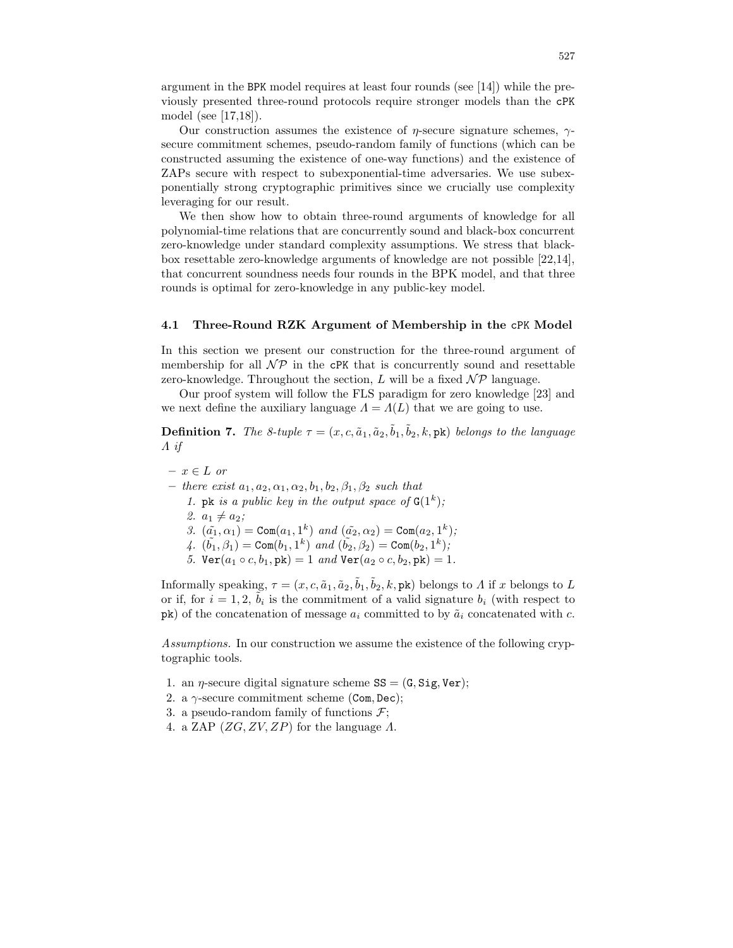argument in the BPK model requires at least four rounds (see [14]) while the previously presented three-round protocols require stronger models than the cPK model (see [17,18]).

Our construction assumes the existence of  $\eta$ -secure signature schemes,  $\gamma$ secure commitment schemes, pseudo-random family of functions (which can be constructed assuming the existence of one-way functions) and the existence of ZAPs secure with respect to subexponential-time adversaries. We use subexponentially strong cryptographic primitives since we crucially use complexity leveraging for our result.

We then show how to obtain three-round arguments of knowledge for all polynomial-time relations that are concurrently sound and black-box concurrent zero-knowledge under standard complexity assumptions. We stress that blackbox resettable zero-knowledge arguments of knowledge are not possible [22,14], that concurrent soundness needs four rounds in the BPK model, and that three rounds is optimal for zero-knowledge in any public-key model.

## 4.1 Three-Round RZK Argument of Membership in the cPK Model

In this section we present our construction for the three-round argument of membership for all  $\mathcal{NP}$  in the cPK that is concurrently sound and resettable zero-knowledge. Throughout the section, L will be a fixed  $\mathcal{NP}$  language.

Our proof system will follow the FLS paradigm for zero knowledge [23] and we next define the auxiliary language  $\Lambda = \Lambda(L)$  that we are going to use.

**Definition 7.** The 8-tuple  $\tau = (x, c, \tilde{a}_1, \tilde{a}_2, \tilde{b}_1, \tilde{b}_2, k, \text{pk})$  belongs to the language Λ if

- $x \in L$  or – there exist  $a_1, a_2, \alpha_1, \alpha_2, b_1, b_2, \beta_1, \beta_2$  such that 1. pk is a public key in the output space of  $G(1^k)$ ; 2.  $a_1 \neq a_2;$ 3.  $(\tilde{a_1}, \alpha_1) = \text{Com}(a_1, 1^k)$  and  $(\tilde{a_2}, \alpha_2) = \text{Com}(a_2, 1^k)$ ; 4.  $(\tilde{b_1}, \beta_1) = \text{Com}(b_1, 1^k)$  and  $(\tilde{b_2}, \beta_2) = \text{Com}(b_2, 1^k)$ ;
	- 5.  $\text{Ver}(a_1 \circ c, b_1, \text{pk}) = 1$  and  $\text{Ver}(a_2 \circ c, b_2, \text{pk}) = 1$ .

Informally speaking,  $\tau = (x, c, \tilde{a}_1, \tilde{a}_2, \tilde{b}_1, \tilde{b}_2, k, \text{pk})$  belongs to  $\Lambda$  if x belongs to  $L$ or if, for  $i = 1, 2, \tilde{b}_i$  is the commitment of a valid signature  $b_i$  (with respect to pk) of the concatenation of message  $a_i$  committed to by  $\tilde{a}_i$  concatenated with c.

Assumptions. In our construction we assume the existence of the following cryptographic tools.

- 1. an  $\eta$ -secure digital signature scheme  $SS = (G, Sig, Ver);$
- 2. a  $\gamma$ -secure commitment scheme (Com, Dec);
- 3. a pseudo-random family of functions  $\mathcal{F}$ ;
- 4. a ZAP  $(ZG, ZV, ZP)$  for the language  $\Lambda$ .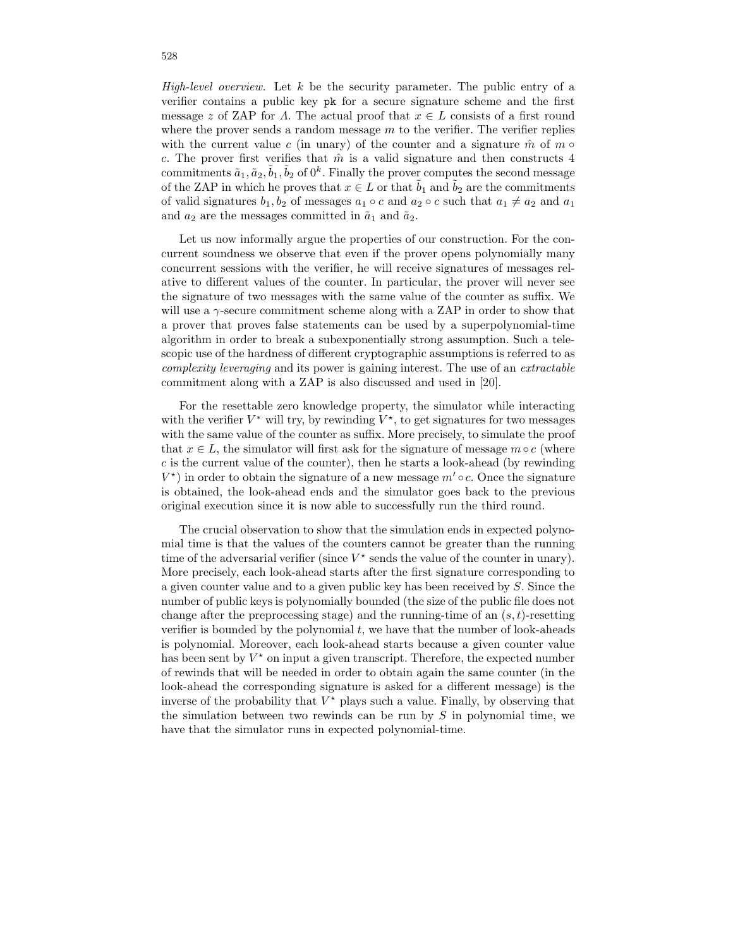High-level overview. Let k be the security parameter. The public entry of a verifier contains a public key pk for a secure signature scheme and the first message z of ZAP for  $\Lambda$ . The actual proof that  $x \in L$  consists of a first round where the prover sends a random message  $m$  to the verifier. The verifier replies with the current value c (in unary) of the counter and a signature  $\hat{m}$  of  $m \circ$ c. The prover first verifies that  $\hat{m}$  is a valid signature and then constructs 4 commitments  $\tilde{a}_1, \tilde{a}_2, \tilde{b}_1, \tilde{b}_2$  of  $0^k$ . Finally the prover computes the second message of the ZAP in which he proves that  $x \in L$  or that  $b_1$  and  $b_2$  are the commitments of valid signatures  $b_1, b_2$  of messages  $a_1 \circ c$  and  $a_2 \circ c$  such that  $a_1 \neq a_2$  and  $a_1$ and  $a_2$  are the messages committed in  $\tilde{a}_1$  and  $\tilde{a}_2$ .

Let us now informally argue the properties of our construction. For the concurrent soundness we observe that even if the prover opens polynomially many concurrent sessions with the verifier, he will receive signatures of messages relative to different values of the counter. In particular, the prover will never see the signature of two messages with the same value of the counter as suffix. We will use a  $\gamma$ -secure commitment scheme along with a ZAP in order to show that a prover that proves false statements can be used by a superpolynomial-time algorithm in order to break a subexponentially strong assumption. Such a telescopic use of the hardness of different cryptographic assumptions is referred to as complexity leveraging and its power is gaining interest. The use of an extractable commitment along with a ZAP is also discussed and used in [20].

For the resettable zero knowledge property, the simulator while interacting with the verifier  $V^*$  will try, by rewinding  $V^*$ , to get signatures for two messages with the same value of the counter as suffix. More precisely, to simulate the proof that  $x \in L$ , the simulator will first ask for the signature of message  $m \circ c$  (where  $c$  is the current value of the counter), then he starts a look-ahead (by rewinding  $V^*$ ) in order to obtain the signature of a new message  $m' \circ c$ . Once the signature is obtained, the look-ahead ends and the simulator goes back to the previous original execution since it is now able to successfully run the third round.

The crucial observation to show that the simulation ends in expected polynomial time is that the values of the counters cannot be greater than the running time of the adversarial verifier (since  $V^*$  sends the value of the counter in unary). More precisely, each look-ahead starts after the first signature corresponding to a given counter value and to a given public key has been received by S. Since the number of public keys is polynomially bounded (the size of the public file does not change after the preprocessing stage) and the running-time of an  $(s, t)$ -resetting verifier is bounded by the polynomial  $t$ , we have that the number of look-aheads is polynomial. Moreover, each look-ahead starts because a given counter value has been sent by  $V^*$  on input a given transcript. Therefore, the expected number of rewinds that will be needed in order to obtain again the same counter (in the look-ahead the corresponding signature is asked for a different message) is the inverse of the probability that  $V^*$  plays such a value. Finally, by observing that the simulation between two rewinds can be run by  $S$  in polynomial time, we have that the simulator runs in expected polynomial-time.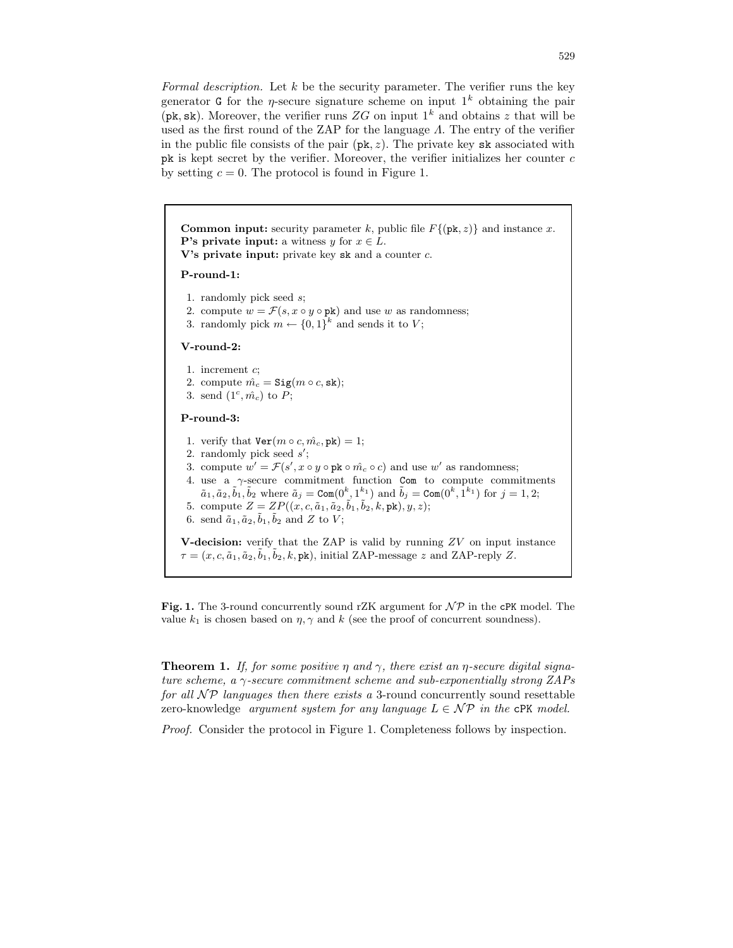Formal description. Let  $k$  be the security parameter. The verifier runs the key generator G for the  $\eta$ -secure signature scheme on input  $1^k$  obtaining the pair (pk, sk). Moreover, the verifier runs  $ZG$  on input  $1^k$  and obtains z that will be used as the first round of the ZAP for the language  $\Lambda$ . The entry of the verifier in the public file consists of the pair  $(\mathbf{pk}, z)$ . The private key sk associated with  $pk$  is kept secret by the verifier. Moreover, the verifier initializes her counter  $c$ by setting  $c = 0$ . The protocol is found in Figure 1.

**Common input:** security parameter k, public file  $F\{(\mathbf{pk}, z)\}\$  and instance x. **P**'s private input: a witness y for  $x \in L$ . V's private input: private key sk and a counter  $c$ . P-round-1:

- 1. randomly pick seed s;
- 2. compute  $w = \mathcal{F}(s, x \circ y \circ \text{pk})$  and use w as randomness;
- 3. randomly pick  $m \leftarrow \{0,1\}^k$  and sends it to V;

#### V-round-2:

- 1. increment c;
- 2. compute  $\hat{m}_c = \text{Sig}(m \circ c, \text{sk});$
- 3. send  $(1^c, \hat{m_c})$  to P;

### P-round-3:

- 1. verify that  $\text{Ver}(m \circ c, \hat{m_c}, \text{pk}) = 1$ ;
- 2. randomly pick seed  $s'$ ;
- 3. compute  $w' = \mathcal{F}(s', x \circ y \circ \text{pk} \circ \hat{m}_c \circ c)$  and use w' as randomness;
- 4. use a  $\gamma$ -secure commitment function Com to compute commitments  $\tilde{a}_1, \tilde{a}_2, \tilde{b}_1, \tilde{b}_2$  where  $\tilde{a}_j = \text{Com}(0^k, 1^{k_1})$  and  $\tilde{b}_j = \text{Com}(0^k, 1^{k_1})$  for  $j = 1, 2;$
- 5. compute  $Z = ZP((x, c, \tilde{a}_1, \tilde{a}_2, \tilde{b}_1, \tilde{b}_2, k, \text{pk}), y, z);$
- 6. send  $\tilde{a}_1, \tilde{a}_2, \tilde{b}_1, \tilde{b}_2$  and Z to V;

**V-decision:** verify that the ZAP is valid by running  $ZV$  on input instance  $\tau = (x, c, \tilde{a}_1, \tilde{a}_2, \tilde{b}_1, \tilde{b}_2, k, \text{pk})$ , initial ZAP-message z and ZAP-reply Z.

Fig. 1. The 3-round concurrently sound rZK argument for  $\mathcal{NP}$  in the cPK model. The value  $k_1$  is chosen based on  $\eta$ ,  $\gamma$  and k (see the proof of concurrent soundness).

**Theorem 1.** If, for some positive  $\eta$  and  $\gamma$ , there exist an  $\eta$ -secure digital signature scheme, a  $\gamma$ -secure commitment scheme and sub-exponentially strong ZAPs for all  $\mathcal{NP}$  languages then there exists a 3-round concurrently sound resettable zero-knowledge *argument system for any language*  $L \in \mathcal{NP}$  in the cPK model.

Proof. Consider the protocol in Figure 1. Completeness follows by inspection.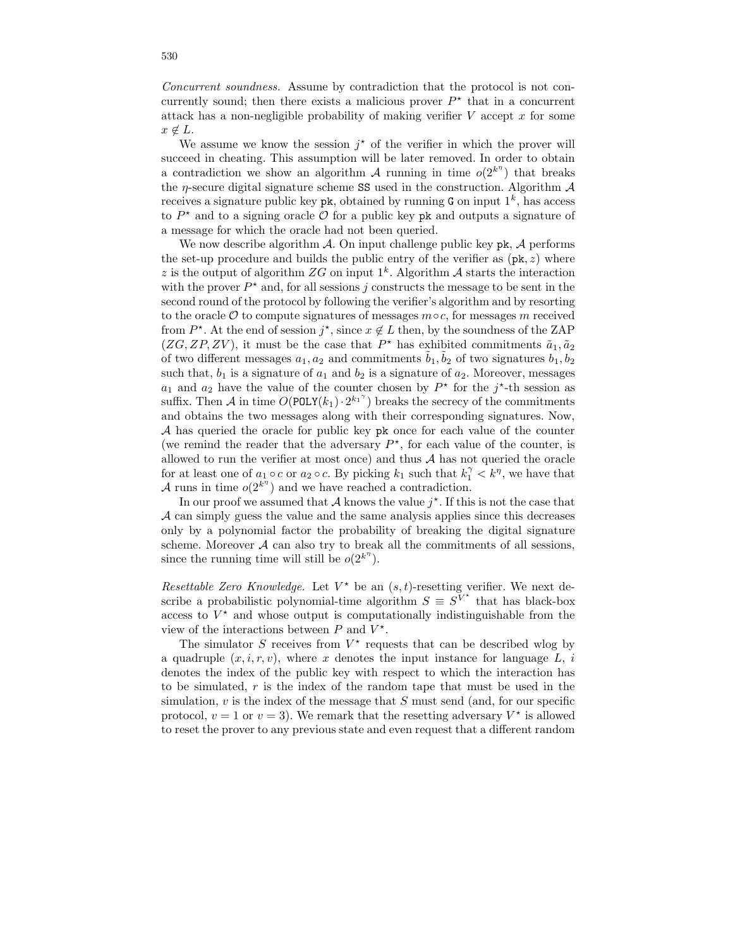Concurrent soundness. Assume by contradiction that the protocol is not concurrently sound; then there exists a malicious prover  $P^*$  that in a concurrent attack has a non-negligible probability of making verifier  $V$  accept  $x$  for some  $x \notin L$ .

We assume we know the session  $j^*$  of the verifier in which the prover will succeed in cheating. This assumption will be later removed. In order to obtain a contradiction we show an algorithm A running in time  $o(2^{k^{n}})$  that breaks the  $\eta$ -secure digital signature scheme SS used in the construction. Algorithm  $\mathcal A$ receives a signature public key  $pk$ , obtained by running G on input  $1<sup>k</sup>$ , has access to  $P^*$  and to a signing oracle  $\mathcal O$  for a public key pk and outputs a signature of a message for which the oracle had not been queried.

We now describe algorithm  $\mathcal{A}$ . On input challenge public key pk,  $\mathcal{A}$  performs the set-up procedure and builds the public entry of the verifier as  $(\mathbf{pk}, z)$  where z is the output of algorithm  $ZG$  on input  $1<sup>k</sup>$ . Algorithm A starts the interaction with the prover  $P^*$  and, for all sessions j constructs the message to be sent in the second round of the protocol by following the verifier's algorithm and by resorting to the oracle  $\mathcal O$  to compute signatures of messages  $m \circ c$ , for messages m received from  $P^*$ . At the end of session  $j^*$ , since  $x \notin L$  then, by the soundness of the ZAP  $(ZG, ZP, ZV)$ , it must be the case that  $P^*$  has exhibited commitments  $\tilde{a}_1, \tilde{a}_2$ of two different messages  $a_1, a_2$  and commitments  $\tilde{b}_1, \tilde{b}_2$  of two signatures  $b_1, b_2$ such that,  $b_1$  is a signature of  $a_1$  and  $b_2$  is a signature of  $a_2$ . Moreover, messages  $a_1$  and  $a_2$  have the value of the counter chosen by  $P^*$  for the  $j^*$ -th session as suffix. Then A in time  $O(POLY(k_1) \cdot 2^{k_1})$  breaks the secrecy of the commitments and obtains the two messages along with their corresponding signatures. Now, A has queried the oracle for public key pk once for each value of the counter (we remind the reader that the adversary  $P^*$ , for each value of the counter, is allowed to run the verifier at most once) and thus  $A$  has not queried the oracle for at least one of  $a_1 \circ c$  or  $a_2 \circ c$ . By picking  $k_1$  such that  $k_1^{\gamma} < k^{\eta}$ , we have that A runs in time  $o(2^{k^{n}})$  and we have reached a contradiction.

In our proof we assumed that  $A$  knows the value  $j^*$ . If this is not the case that A can simply guess the value and the same analysis applies since this decreases only by a polynomial factor the probability of breaking the digital signature scheme. Moreover  $A$  can also try to break all the commitments of all sessions, since the running time will still be  $o(2^{k^{n}})$ .

Resettable Zero Knowledge. Let  $V^*$  be an  $(s, t)$ -resetting verifier. We next describe a probabilistic polynomial-time algorithm  $S \equiv S^{V^*}$  that has black-box access to  $V^*$  and whose output is computationally indistinguishable from the view of the interactions between  $P$  and  $V^*$ .

The simulator  $S$  receives from  $V^*$  requests that can be described wlog by a quadruple  $(x, i, r, v)$ , where x denotes the input instance for language L, i denotes the index of the public key with respect to which the interaction has to be simulated,  $r$  is the index of the random tape that must be used in the simulation,  $v$  is the index of the message that  $S$  must send (and, for our specific protocol,  $v = 1$  or  $v = 3$ ). We remark that the resetting adversary  $V^*$  is allowed to reset the prover to any previous state and even request that a different random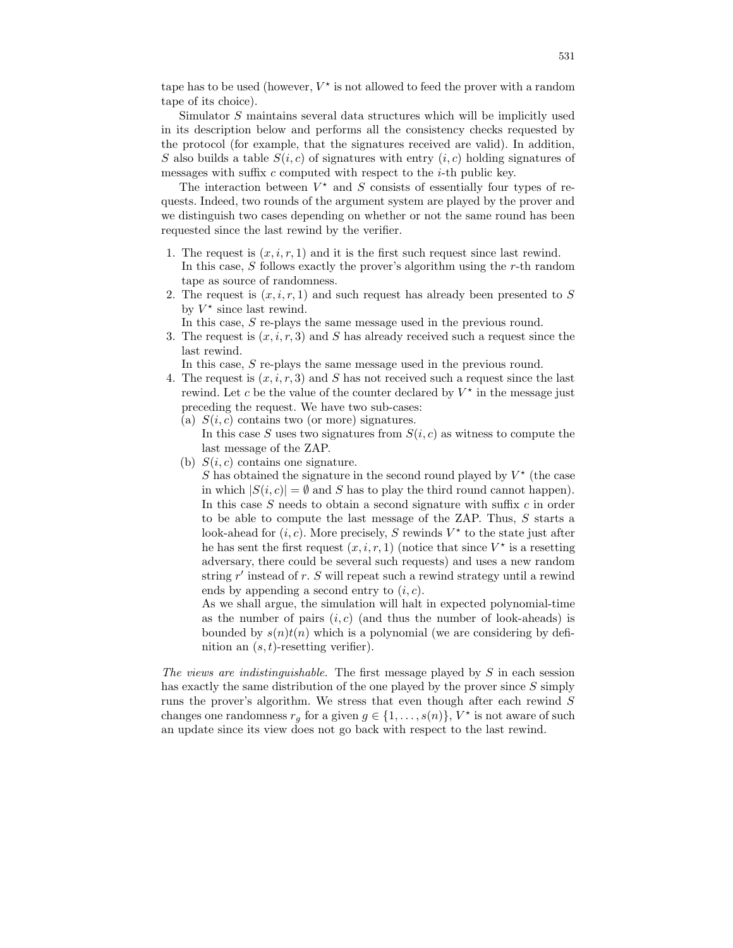tape has to be used (however,  $V^*$  is not allowed to feed the prover with a random tape of its choice).

Simulator S maintains several data structures which will be implicitly used in its description below and performs all the consistency checks requested by the protocol (for example, that the signatures received are valid). In addition, S also builds a table  $S(i, c)$  of signatures with entry  $(i, c)$  holding signatures of messages with suffix  $c$  computed with respect to the  $i$ -th public key.

The interaction between  $V^*$  and  $S$  consists of essentially four types of requests. Indeed, two rounds of the argument system are played by the prover and we distinguish two cases depending on whether or not the same round has been requested since the last rewind by the verifier.

- 1. The request is  $(x,i,r,1)$  and it is the first such request since last rewind. In this case, S follows exactly the prover's algorithm using the r-th random tape as source of randomness.
- 2. The request is  $(x, i, r, 1)$  and such request has already been presented to S by  $V^*$  since last rewind.

In this case, S re-plays the same message used in the previous round.

3. The request is  $(x, i, r, 3)$  and S has already received such a request since the last rewind.

In this case, S re-plays the same message used in the previous round.

- 4. The request is  $(x,i,r,3)$  and S has not received such a request since the last rewind. Let  $c$  be the value of the counter declared by  $V^*$  in the message just preceding the request. We have two sub-cases:
	- (a)  $S(i, c)$  contains two (or more) signatures. In this case S uses two signatures from  $S(i, c)$  as witness to compute the last message of the ZAP.
	- (b)  $S(i, c)$  contains one signature.

S has obtained the signature in the second round played by  $V^*$  (the case in which  $|S(i, c)| = \emptyset$  and S has to play the third round cannot happen). In this case S needs to obtain a second signature with suffix c in order to be able to compute the last message of the ZAP. Thus, S starts a look-ahead for  $(i, c)$ . More precisely, S rewinds  $V^*$  to the state just after he has sent the first request  $(x, i, r, 1)$  (notice that since  $V^*$  is a resetting adversary, there could be several such requests) and uses a new random string  $r'$  instead of r. S will repeat such a rewind strategy until a rewind ends by appending a second entry to  $(i, c)$ .

As we shall argue, the simulation will halt in expected polynomial-time as the number of pairs  $(i, c)$  (and thus the number of look-aheads) is bounded by  $s(n)t(n)$  which is a polynomial (we are considering by definition an  $(s, t)$ -resetting verifier).

The views are indistinguishable. The first message played by S in each session has exactly the same distribution of the one played by the prover since S simply runs the prover's algorithm. We stress that even though after each rewind S changes one randomness  $r_g$  for a given  $g \in \{1, \ldots, s(n)\}, V^*$  is not aware of such an update since its view does not go back with respect to the last rewind.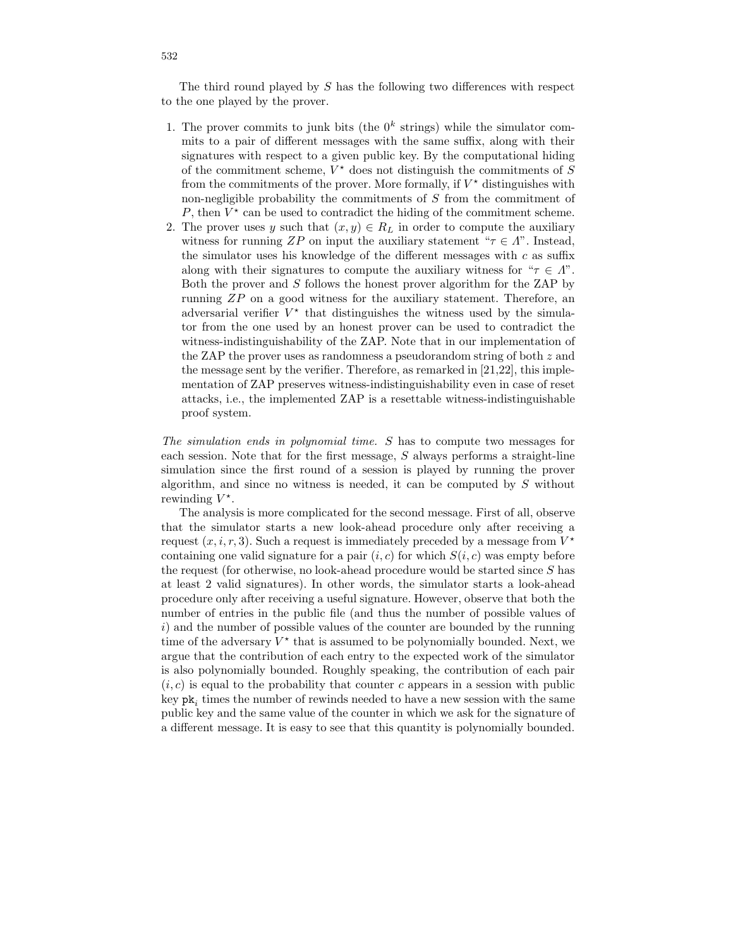The third round played by  $S$  has the following two differences with respect to the one played by the prover.

- 1. The prover commits to junk bits (the  $0<sup>k</sup>$  strings) while the simulator commits to a pair of different messages with the same suffix, along with their signatures with respect to a given public key. By the computational hiding of the commitment scheme,  $V^*$  does not distinguish the commitments of S from the commitments of the prover. More formally, if  $V^*$  distinguishes with non-negligible probability the commitments of S from the commitment of  $P$ , then  $V^*$  can be used to contradict the hiding of the commitment scheme.
- 2. The prover uses y such that  $(x, y) \in R_L$  in order to compute the auxiliary witness for running ZP on input the auxiliary statement " $\tau \in \Lambda$ ". Instead, the simulator uses his knowledge of the different messages with  $c$  as suffix along with their signatures to compute the auxiliary witness for " $\tau \in \Lambda$ ". Both the prover and S follows the honest prover algorithm for the ZAP by running ZP on a good witness for the auxiliary statement. Therefore, an adversarial verifier  $V^*$  that distinguishes the witness used by the simulator from the one used by an honest prover can be used to contradict the witness-indistinguishability of the ZAP. Note that in our implementation of the ZAP the prover uses as randomness a pseudorandom string of both z and the message sent by the verifier. Therefore, as remarked in [21,22], this implementation of ZAP preserves witness-indistinguishability even in case of reset attacks, i.e., the implemented ZAP is a resettable witness-indistinguishable proof system.

The simulation ends in polynomial time. S has to compute two messages for each session. Note that for the first message,  $S$  always performs a straight-line simulation since the first round of a session is played by running the prover algorithm, and since no witness is needed, it can be computed by  $S$  without rewinding  $V^*$ .

The analysis is more complicated for the second message. First of all, observe that the simulator starts a new look-ahead procedure only after receiving a request  $(x, i, r, 3)$ . Such a request is immediately preceded by a message from  $V^*$ containing one valid signature for a pair  $(i, c)$  for which  $S(i, c)$  was empty before the request (for otherwise, no look-ahead procedure would be started since S has at least 2 valid signatures). In other words, the simulator starts a look-ahead procedure only after receiving a useful signature. However, observe that both the number of entries in the public file (and thus the number of possible values of i) and the number of possible values of the counter are bounded by the running time of the adversary  $V^*$  that is assumed to be polynomially bounded. Next, we argue that the contribution of each entry to the expected work of the simulator is also polynomially bounded. Roughly speaking, the contribution of each pair  $(i, c)$  is equal to the probability that counter c appears in a session with public key $\mathtt{pk}_i$  times the number of rewinds needed to have a new session with the same public key and the same value of the counter in which we ask for the signature of a different message. It is easy to see that this quantity is polynomially bounded.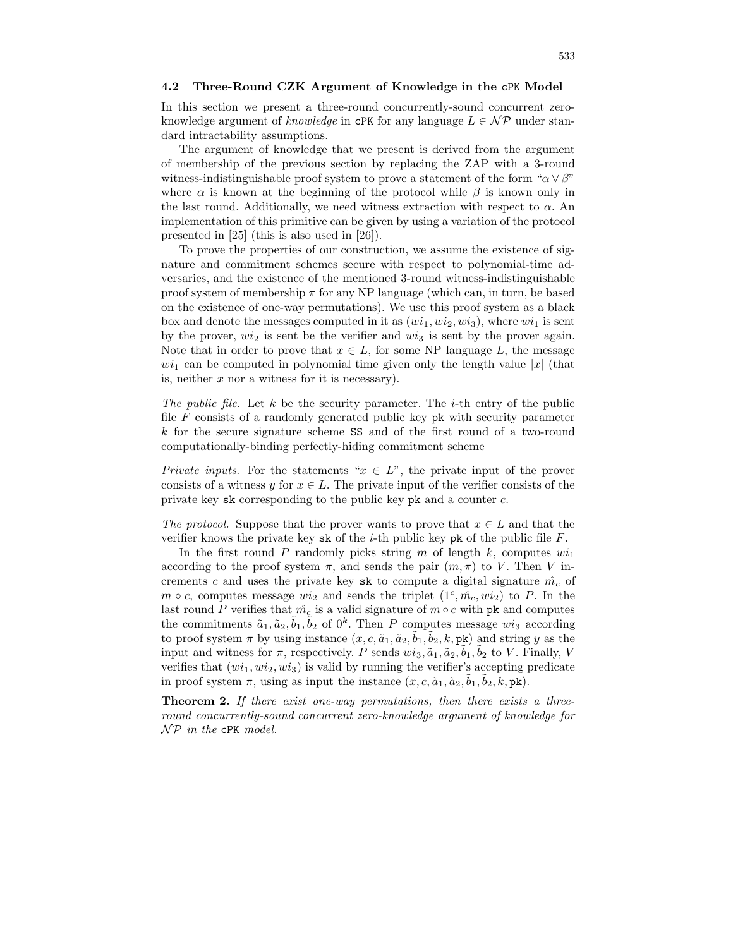## 4.2 Three-Round CZK Argument of Knowledge in the cPK Model

In this section we present a three-round concurrently-sound concurrent zeroknowledge argument of knowledge in cPK for any language  $L \in \mathcal{NP}$  under standard intractability assumptions.

The argument of knowledge that we present is derived from the argument of membership of the previous section by replacing the ZAP with a 3-round witness-indistinguishable proof system to prove a statement of the form " $\alpha \vee \beta$ " where  $\alpha$  is known at the beginning of the protocol while  $\beta$  is known only in the last round. Additionally, we need witness extraction with respect to  $\alpha$ . An implementation of this primitive can be given by using a variation of the protocol presented in [25] (this is also used in [26]).

To prove the properties of our construction, we assume the existence of signature and commitment schemes secure with respect to polynomial-time adversaries, and the existence of the mentioned 3-round witness-indistinguishable proof system of membership  $\pi$  for any NP language (which can, in turn, be based on the existence of one-way permutations). We use this proof system as a black box and denote the messages computed in it as  $(wi_1, wi_2, wi_3)$ , where  $wi_1$  is sent by the prover,  $wi_2$  is sent be the verifier and  $wi_3$  is sent by the prover again. Note that in order to prove that  $x \in L$ , for some NP language L, the message  $wi_1$  can be computed in polynomial time given only the length value |x| (that is, neither  $x$  nor a witness for it is necessary).

The public file. Let k be the security parameter. The *i*-th entry of the public file  $F$  consists of a randomly generated public key pk with security parameter k for the secure signature scheme SS and of the first round of a two-round computationally-binding perfectly-hiding commitment scheme

*Private inputs.* For the statements " $x \in L$ ", the private input of the prover consists of a witness y for  $x \in L$ . The private input of the verifier consists of the private key sk corresponding to the public key pk and a counter c.

The protocol. Suppose that the prover wants to prove that  $x \in L$  and that the verifier knows the private key sk of the *i*-th public key pk of the public file  $F$ .

In the first round P randomly picks string m of length k, computes  $wi_1$ according to the proof system  $\pi$ , and sends the pair  $(m, \pi)$  to V. Then V increments c and uses the private key sk to compute a digital signature  $\hat{m}_c$  of  $m \circ c$ , computes message  $wi_2$  and sends the triplet  $(1^c, \hat{m_c}, wi_2)$  to P. In the last round P verifies that  $\hat{m_c}$  is a valid signature of  $m \circ c$  with pk and computes the commitments  $\tilde{a}_1, \tilde{a}_2, \tilde{b}_1, \tilde{b}_2$  of  $0^k$ . Then P computes message  $wi_3$  according to proof system  $\pi$  by using instance  $(x, c, \tilde{a}_1, \tilde{a}_2, \tilde{b}_1, \tilde{b}_2, k, \text{pk})$  and string y as the input and witness for  $\pi$ , respectively. P sends  $wi_3$ ,  $\tilde{a}_1$ ,  $\tilde{a}_2$ ,  $\tilde{b}_1$ ,  $\tilde{b}_2$  to V. Finally, V verifies that  $(w_i, wi_2, wi_3)$  is valid by running the verifier's accepting predicate in proof system  $\pi$ , using as input the instance  $(x, c, \tilde{a}_1, \tilde{a}_2, \tilde{b}_1, \tilde{b}_2, k, \text{pk})$ .

**Theorem 2.** If there exist one-way permutations, then there exists a threeround concurrently-sound concurrent zero-knowledge argument of knowledge for  $\mathcal{NP}$  in the cPK model.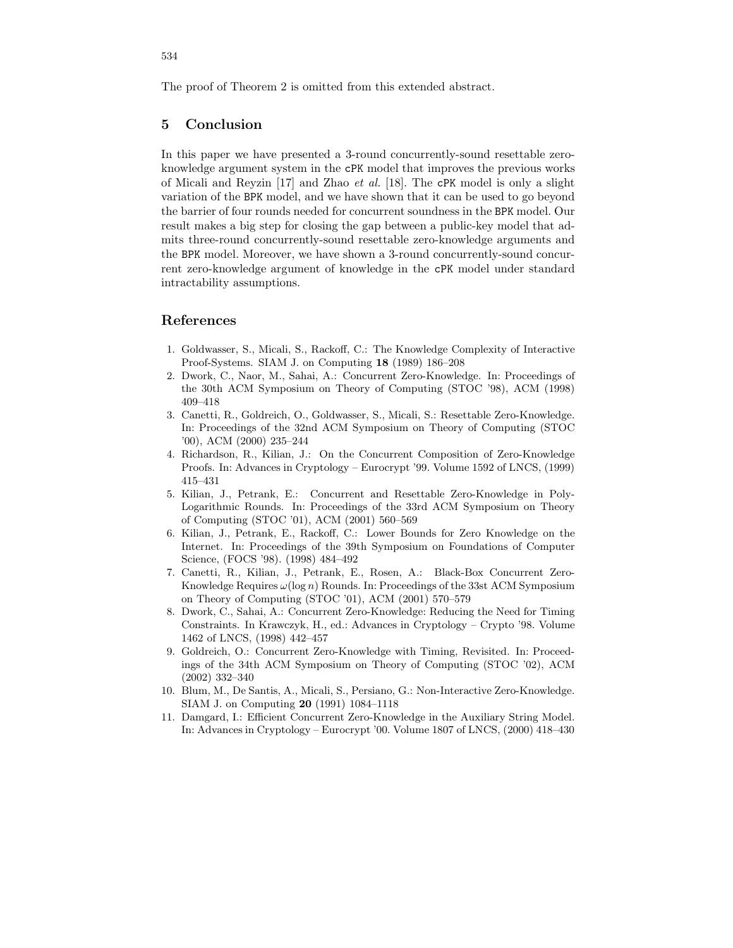The proof of Theorem 2 is omitted from this extended abstract.

# 5 Conclusion

In this paper we have presented a 3-round concurrently-sound resettable zeroknowledge argument system in the cPK model that improves the previous works of Micali and Reyzin [17] and Zhao et al. [18]. The cPK model is only a slight variation of the BPK model, and we have shown that it can be used to go beyond the barrier of four rounds needed for concurrent soundness in the BPK model. Our result makes a big step for closing the gap between a public-key model that admits three-round concurrently-sound resettable zero-knowledge arguments and the BPK model. Moreover, we have shown a 3-round concurrently-sound concurrent zero-knowledge argument of knowledge in the cPK model under standard intractability assumptions.

## References

- 1. Goldwasser, S., Micali, S., Rackoff, C.: The Knowledge Complexity of Interactive Proof-Systems. SIAM J. on Computing 18 (1989) 186–208
- 2. Dwork, C., Naor, M., Sahai, A.: Concurrent Zero-Knowledge. In: Proceedings of the 30th ACM Symposium on Theory of Computing (STOC '98), ACM (1998) 409–418
- 3. Canetti, R., Goldreich, O., Goldwasser, S., Micali, S.: Resettable Zero-Knowledge. In: Proceedings of the 32nd ACM Symposium on Theory of Computing (STOC '00), ACM (2000) 235–244
- 4. Richardson, R., Kilian, J.: On the Concurrent Composition of Zero-Knowledge Proofs. In: Advances in Cryptology – Eurocrypt '99. Volume 1592 of LNCS, (1999) 415–431
- 5. Kilian, J., Petrank, E.: Concurrent and Resettable Zero-Knowledge in Poly-Logarithmic Rounds. In: Proceedings of the 33rd ACM Symposium on Theory of Computing (STOC '01), ACM (2001) 560–569
- 6. Kilian, J., Petrank, E., Rackoff, C.: Lower Bounds for Zero Knowledge on the Internet. In: Proceedings of the 39th Symposium on Foundations of Computer Science, (FOCS '98). (1998) 484–492
- 7. Canetti, R., Kilian, J., Petrank, E., Rosen, A.: Black-Box Concurrent Zero-Knowledge Requires  $\omega(\log n)$  Rounds. In: Proceedings of the 33st ACM Symposium on Theory of Computing (STOC '01), ACM (2001) 570–579
- 8. Dwork, C., Sahai, A.: Concurrent Zero-Knowledge: Reducing the Need for Timing Constraints. In Krawczyk, H., ed.: Advances in Cryptology – Crypto '98. Volume 1462 of LNCS, (1998) 442–457
- 9. Goldreich, O.: Concurrent Zero-Knowledge with Timing, Revisited. In: Proceedings of the 34th ACM Symposium on Theory of Computing (STOC '02), ACM (2002) 332–340
- 10. Blum, M., De Santis, A., Micali, S., Persiano, G.: Non-Interactive Zero-Knowledge. SIAM J. on Computing 20 (1991) 1084–1118
- 11. Damgard, I.: Efficient Concurrent Zero-Knowledge in the Auxiliary String Model. In: Advances in Cryptology – Eurocrypt '00. Volume 1807 of LNCS, (2000) 418–430